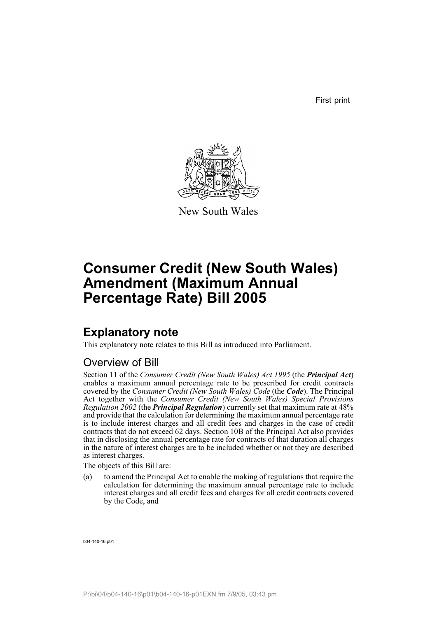First print



New South Wales

# **Consumer Credit (New South Wales) Amendment (Maximum Annual Percentage Rate) Bill 2005**

## **Explanatory note**

This explanatory note relates to this Bill as introduced into Parliament.

## Overview of Bill

Section 11 of the *Consumer Credit (New South Wales) Act 1995* (the *Principal Act*) enables a maximum annual percentage rate to be prescribed for credit contracts covered by the *Consumer Credit (New South Wales) Code* (the *Code*). The Principal Act together with the *Consumer Credit (New South Wales) Special Provisions Regulation 2002* (the *Principal Regulation*) currently set that maximum rate at 48% and provide that the calculation for determining the maximum annual percentage rate is to include interest charges and all credit fees and charges in the case of credit contracts that do not exceed 62 days. Section 10B of the Principal Act also provides that in disclosing the annual percentage rate for contracts of that duration all charges in the nature of interest charges are to be included whether or not they are described as interest charges.

The objects of this Bill are:

(a) to amend the Principal Act to enable the making of regulations that require the calculation for determining the maximum annual percentage rate to include interest charges and all credit fees and charges for all credit contracts covered by the Code, and

b04-140-16.p01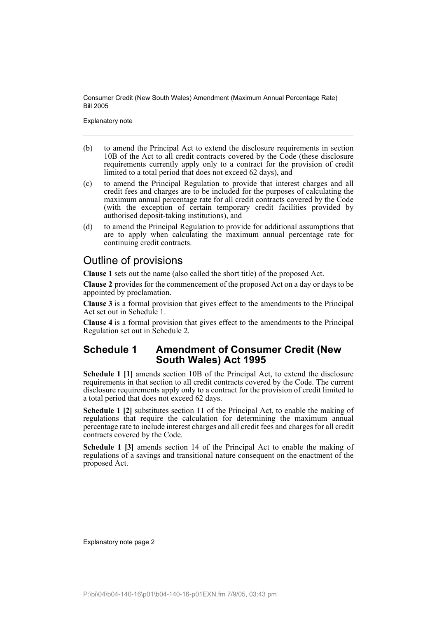Explanatory note

- (b) to amend the Principal Act to extend the disclosure requirements in section 10B of the Act to all credit contracts covered by the Code (these disclosure requirements currently apply only to a contract for the provision of credit limited to a total period that does not exceed 62 days), and
- (c) to amend the Principal Regulation to provide that interest charges and all credit fees and charges are to be included for the purposes of calculating the maximum annual percentage rate for all credit contracts covered by the Code (with the exception of certain temporary credit facilities provided by authorised deposit-taking institutions), and
- (d) to amend the Principal Regulation to provide for additional assumptions that are to apply when calculating the maximum annual percentage rate for continuing credit contracts.

## Outline of provisions

**Clause 1** sets out the name (also called the short title) of the proposed Act.

**Clause 2** provides for the commencement of the proposed Act on a day or days to be appointed by proclamation.

**Clause 3** is a formal provision that gives effect to the amendments to the Principal Act set out in Schedule 1.

**Clause 4** is a formal provision that gives effect to the amendments to the Principal Regulation set out in Schedule 2.

### **Schedule 1 Amendment of Consumer Credit (New South Wales) Act 1995**

**Schedule 1 [1]** amends section 10B of the Principal Act, to extend the disclosure requirements in that section to all credit contracts covered by the Code. The current disclosure requirements apply only to a contract for the provision of credit limited to a total period that does not exceed 62 days.

**Schedule 1 [2]** substitutes section 11 of the Principal Act, to enable the making of regulations that require the calculation for determining the maximum annual percentage rate to include interest charges and all credit fees and charges for all credit contracts covered by the Code.

**Schedule 1 [3]** amends section 14 of the Principal Act to enable the making of regulations of a savings and transitional nature consequent on the enactment of the proposed Act.

Explanatory note page 2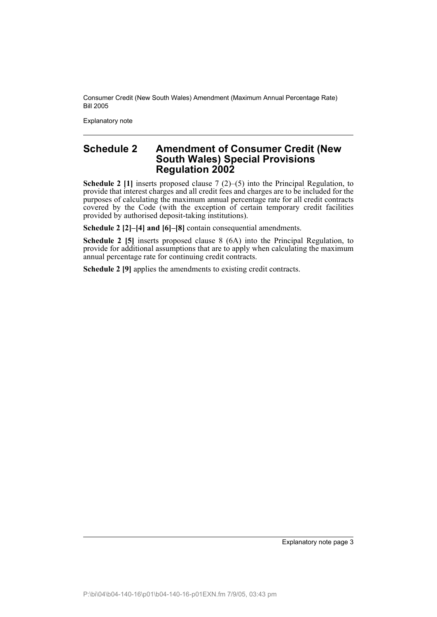Explanatory note

### **Schedule 2 Amendment of Consumer Credit (New South Wales) Special Provisions Regulation 2002**

**Schedule 2 [1]** inserts proposed clause 7 (2)–(5) into the Principal Regulation, to provide that interest charges and all credit fees and charges are to be included for the purposes of calculating the maximum annual percentage rate for all credit contracts covered by the Code (with the exception of certain temporary credit facilities provided by authorised deposit-taking institutions).

**Schedule 2 [2]–[4] and [6]–[8]** contain consequential amendments.

**Schedule 2 [5]** inserts proposed clause 8 (6A) into the Principal Regulation, to provide for additional assumptions that are to apply when calculating the maximum annual percentage rate for continuing credit contracts.

**Schedule 2 [9]** applies the amendments to existing credit contracts.

Explanatory note page 3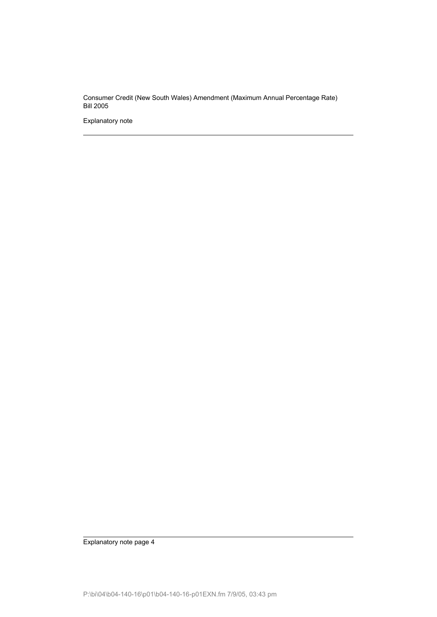Explanatory note

Explanatory note page 4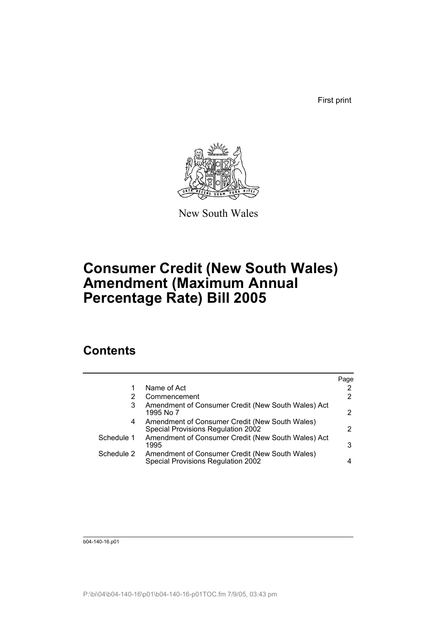First print



New South Wales

# **Consumer Credit (New South Wales) Amendment (Maximum Annual Percentage Rate) Bill 2005**

## **Contents**

| Name of Act<br>Commencement<br>2<br>Amendment of Consumer Credit (New South Wales) Act<br>3        | Page                  |
|----------------------------------------------------------------------------------------------------|-----------------------|
|                                                                                                    | 2                     |
|                                                                                                    | $\mathbf{2}^{\prime}$ |
| 1995 No 7                                                                                          | $\mathcal{P}$         |
| Amendment of Consumer Credit (New South Wales)<br>4<br>Special Provisions Regulation 2002          | $\mathcal{P}$         |
| Amendment of Consumer Credit (New South Wales) Act<br>Schedule 1<br>1995                           | 3                     |
| Schedule 2<br>Amendment of Consumer Credit (New South Wales)<br>Special Provisions Regulation 2002 | 4                     |

b04-140-16.p01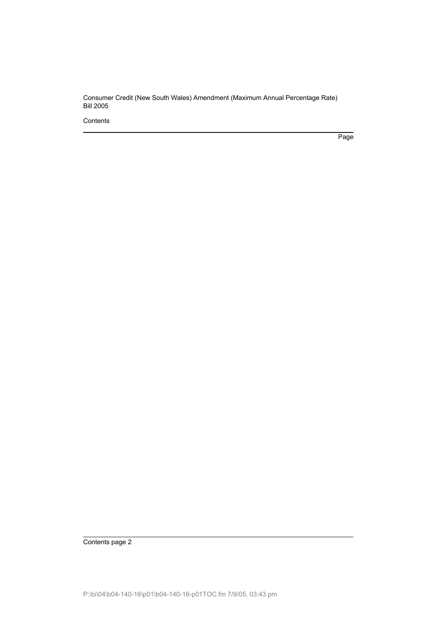**Contents** 

Page

Contents page 2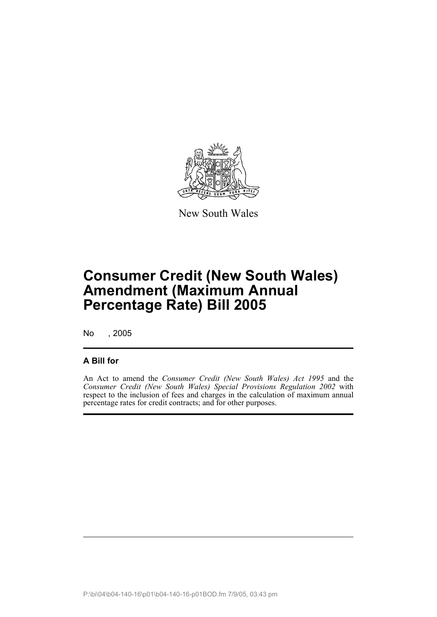

New South Wales

# **Consumer Credit (New South Wales) Amendment (Maximum Annual Percentage Rate) Bill 2005**

No , 2005

### **A Bill for**

An Act to amend the *Consumer Credit (New South Wales) Act 1995* and the *Consumer Credit (New South Wales) Special Provisions Regulation 2002* with respect to the inclusion of fees and charges in the calculation of maximum annual percentage rates for credit contracts; and for other purposes.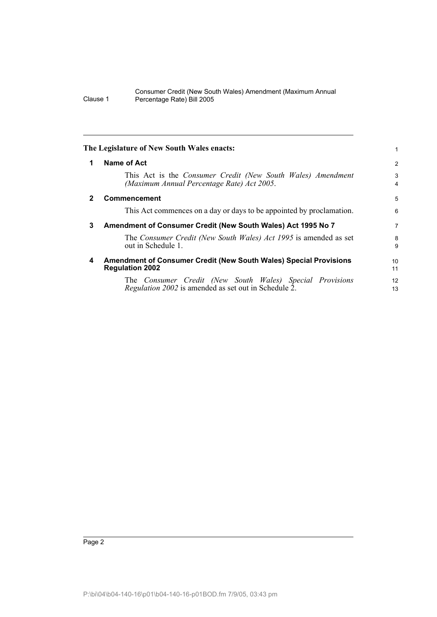<span id="page-7-3"></span><span id="page-7-2"></span><span id="page-7-1"></span><span id="page-7-0"></span>

|              | The Legislature of New South Wales enacts:                                                                              | 1                   |
|--------------|-------------------------------------------------------------------------------------------------------------------------|---------------------|
| 1            | Name of Act                                                                                                             | $\overline{2}$      |
|              | This Act is the Consumer Credit (New South Wales) Amendment<br>(Maximum Annual Percentage Rate) Act 2005.               | 3<br>$\overline{4}$ |
| $\mathbf{2}$ | <b>Commencement</b>                                                                                                     | 5                   |
|              | This Act commences on a day or days to be appointed by proclamation.                                                    | 6                   |
| 3            | Amendment of Consumer Credit (New South Wales) Act 1995 No 7                                                            | $\overline{7}$      |
|              | The Consumer Credit (New South Wales) Act 1995 is amended as set<br>out in Schedule 1.                                  | 8<br>9              |
| 4            | <b>Amendment of Consumer Credit (New South Wales) Special Provisions</b><br><b>Regulation 2002</b>                      | 10<br>11            |
|              | The Consumer Credit (New South Wales) Special Provisions<br><i>Regulation 2002</i> is amended as set out in Schedule 2. | 12<br>13            |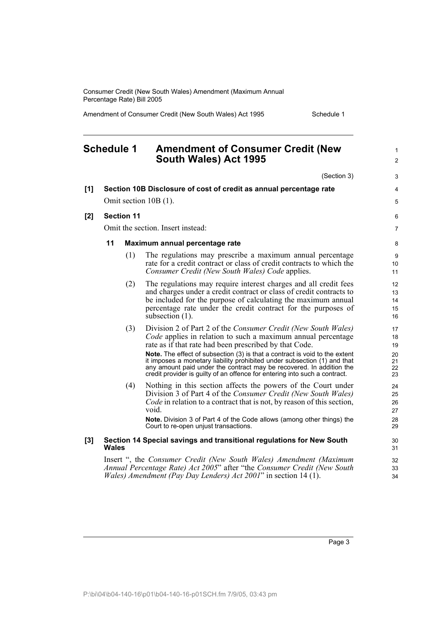Amendment of Consumer Credit (New South Wales) Act 1995 Schedule 1

<span id="page-8-0"></span>

|     | <b>Schedule 1</b>                 |                   | <b>Amendment of Consumer Credit (New</b><br>South Wales) Act 1995                                                                                                                                                                                                                                                                                                                                                                                                                                        | $\mathbf{1}$<br>$\overline{2}$         |
|-----|-----------------------------------|-------------------|----------------------------------------------------------------------------------------------------------------------------------------------------------------------------------------------------------------------------------------------------------------------------------------------------------------------------------------------------------------------------------------------------------------------------------------------------------------------------------------------------------|----------------------------------------|
|     |                                   |                   | (Section 3)                                                                                                                                                                                                                                                                                                                                                                                                                                                                                              | 3                                      |
| [1] |                                   |                   | Section 10B Disclosure of cost of credit as annual percentage rate                                                                                                                                                                                                                                                                                                                                                                                                                                       | 4                                      |
|     | Omit section 10B (1).             |                   |                                                                                                                                                                                                                                                                                                                                                                                                                                                                                                          |                                        |
| [2] |                                   | <b>Section 11</b> |                                                                                                                                                                                                                                                                                                                                                                                                                                                                                                          | 6                                      |
|     | Omit the section. Insert instead: |                   |                                                                                                                                                                                                                                                                                                                                                                                                                                                                                                          |                                        |
|     | 11                                |                   | Maximum annual percentage rate                                                                                                                                                                                                                                                                                                                                                                                                                                                                           | 8                                      |
|     |                                   | (1)               | The regulations may prescribe a maximum annual percentage<br>rate for a credit contract or class of credit contracts to which the<br>Consumer Credit (New South Wales) Code applies.                                                                                                                                                                                                                                                                                                                     | 9<br>10<br>11                          |
|     |                                   | (2)               | The regulations may require interest charges and all credit fees<br>and charges under a credit contract or class of credit contracts to<br>be included for the purpose of calculating the maximum annual<br>percentage rate under the credit contract for the purposes of<br>subsection $(1)$ .                                                                                                                                                                                                          | 12<br>13<br>14<br>15<br>16             |
|     |                                   | (3)               | Division 2 of Part 2 of the Consumer Credit (New South Wales)<br>Code applies in relation to such a maximum annual percentage<br>rate as if that rate had been prescribed by that Code.<br>Note. The effect of subsection (3) is that a contract is void to the extent<br>it imposes a monetary liability prohibited under subsection (1) and that<br>any amount paid under the contract may be recovered. In addition the<br>credit provider is guilty of an offence for entering into such a contract. | 17<br>18<br>19<br>20<br>21<br>22<br>23 |
|     |                                   | (4)               | Nothing in this section affects the powers of the Court under<br>Division 3 of Part 4 of the Consumer Credit (New South Wales)<br>Code in relation to a contract that is not, by reason of this section,<br>void<br>Note. Division 3 of Part 4 of the Code allows (among other things) the<br>Court to re-open unjust transactions.                                                                                                                                                                      | 24<br>25<br>26<br>27<br>28<br>29       |
| [3] | <b>Wales</b>                      |                   | Section 14 Special savings and transitional regulations for New South                                                                                                                                                                                                                                                                                                                                                                                                                                    | 30<br>31                               |
|     |                                   |                   | Insert ", the Consumer Credit (New South Wales) Amendment (Maximum<br>Annual Percentage Rate) Act 2005" after "the Consumer Credit (New South<br><i>Wales)</i> Amendment (Pay Day Lenders) Act 2001" in section 14 (1).                                                                                                                                                                                                                                                                                  | 32<br>33<br>34                         |

Page 3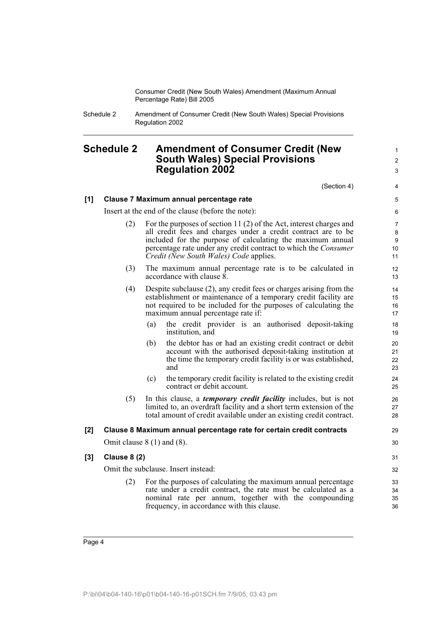> 1 2 3

Schedule 2 Amendment of Consumer Credit (New South Wales) Special Provisions Regulation 2002

## <span id="page-9-0"></span>**Schedule 2 Amendment of Consumer Credit (New South Wales) Special Provisions Regulation 2002**

|       |                                                                      | (Section 4)                                                                                                                                                                                                                                                                                                     | 4                       |  |
|-------|----------------------------------------------------------------------|-----------------------------------------------------------------------------------------------------------------------------------------------------------------------------------------------------------------------------------------------------------------------------------------------------------------|-------------------------|--|
| [1]   | Clause 7 Maximum annual percentage rate                              |                                                                                                                                                                                                                                                                                                                 |                         |  |
|       | Insert at the end of the clause (before the note):                   |                                                                                                                                                                                                                                                                                                                 |                         |  |
|       | (2)                                                                  | For the purposes of section 11 (2) of the Act, interest charges and<br>all credit fees and charges under a credit contract are to be<br>included for the purpose of calculating the maximum annual<br>percentage rate under any credit contract to which the Consumer<br>Credit (New South Wales) Code applies. | 7<br>8<br>9<br>10<br>11 |  |
|       | (3)                                                                  | The maximum annual percentage rate is to be calculated in<br>accordance with clause $\overline{8}$ .                                                                                                                                                                                                            | 12<br>13                |  |
|       | (4)                                                                  | Despite subclause (2), any credit fees or charges arising from the<br>establishment or maintenance of a temporary credit facility are<br>not required to be included for the purposes of calculating the<br>maximum annual percentage rate if:                                                                  | 14<br>15<br>16<br>17    |  |
|       |                                                                      | the credit provider is an authorised deposit-taking<br>(a)<br>institution, and                                                                                                                                                                                                                                  | 18<br>19                |  |
|       |                                                                      | the debtor has or had an existing credit contract or debit<br>(b)<br>account with the authorised deposit-taking institution at<br>the time the temporary credit facility is or was established,<br>and                                                                                                          | 20<br>21<br>22<br>23    |  |
|       |                                                                      | the temporary credit facility is related to the existing credit<br>(c)<br>contract or debit account.                                                                                                                                                                                                            | 24<br>25                |  |
|       | (5)                                                                  | In this clause, a <i>temporary credit facility</i> includes, but is not<br>limited to, an overdraft facility and a short term extension of the<br>total amount of credit available under an existing credit contract.                                                                                           | 26<br>27<br>28          |  |
| [2]   | Clause 8 Maximum annual percentage rate for certain credit contracts |                                                                                                                                                                                                                                                                                                                 |                         |  |
|       | Omit clause $8(1)$ and $(8)$ .                                       |                                                                                                                                                                                                                                                                                                                 |                         |  |
| $[3]$ | <b>Clause 8 (2)</b>                                                  |                                                                                                                                                                                                                                                                                                                 |                         |  |
|       | Omit the subclause. Insert instead:                                  |                                                                                                                                                                                                                                                                                                                 |                         |  |
|       | (2)                                                                  | For the purposes of calculating the maximum annual percentage<br>rate under a credit contract, the rate must be calculated as a<br>nominal rate per annum, together with the compounding<br>frequency, in accordance with this clause.                                                                          | 33<br>34<br>35<br>36    |  |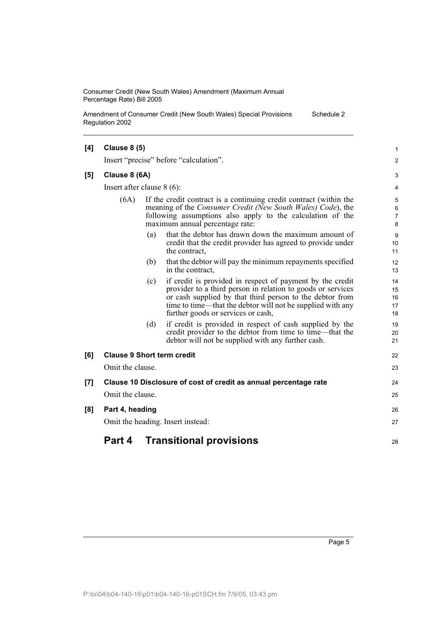Amendment of Consumer Credit (New South Wales) Special Provisions Regulation 2002 Schedule 2

| [4]   | <b>Clause 8 (5)</b>                    |     |                                                                                                                                                                                                                                                                                          | 1                          |
|-------|----------------------------------------|-----|------------------------------------------------------------------------------------------------------------------------------------------------------------------------------------------------------------------------------------------------------------------------------------------|----------------------------|
|       | Insert "precise" before "calculation". |     |                                                                                                                                                                                                                                                                                          |                            |
| [5]   | Clause 8 (6A)                          |     |                                                                                                                                                                                                                                                                                          | 3                          |
|       | Insert after clause $8(6)$ :           |     |                                                                                                                                                                                                                                                                                          |                            |
|       | (6A)                                   |     | If the credit contract is a continuing credit contract (within the<br>meaning of the <i>Consumer Credit (New South Wales) Code</i> ), the<br>following assumptions also apply to the calculation of the<br>maximum annual percentage rate:                                               | 5<br>6<br>7<br>8           |
|       |                                        | (a) | that the debtor has drawn down the maximum amount of<br>credit that the credit provider has agreed to provide under<br>the contract,                                                                                                                                                     | 9<br>10<br>11              |
|       |                                        | (b) | that the debtor will pay the minimum repayments specified<br>in the contract,                                                                                                                                                                                                            | 12<br>13                   |
|       |                                        | (c) | if credit is provided in respect of payment by the credit<br>provider to a third person in relation to goods or services<br>or cash supplied by that third person to the debtor from<br>time to time—that the debtor will not be supplied with any<br>further goods or services or cash, | 14<br>15<br>16<br>17<br>18 |
|       |                                        | (d) | if credit is provided in respect of cash supplied by the<br>credit provider to the debtor from time to time—that the<br>debtor will not be supplied with any further cash.                                                                                                               | 19<br>20<br>21             |
| [6]   |                                        |     | <b>Clause 9 Short term credit</b>                                                                                                                                                                                                                                                        | 22                         |
|       | Omit the clause.                       |     |                                                                                                                                                                                                                                                                                          |                            |
| $[7]$ |                                        |     | Clause 10 Disclosure of cost of credit as annual percentage rate                                                                                                                                                                                                                         | 24                         |
|       | Omit the clause.                       |     |                                                                                                                                                                                                                                                                                          |                            |
| [8]   | Part 4, heading                        |     |                                                                                                                                                                                                                                                                                          | 26                         |
|       | Omit the heading. Insert instead:      |     |                                                                                                                                                                                                                                                                                          | 27                         |
|       | Part 4                                 |     | <b>Transitional provisions</b>                                                                                                                                                                                                                                                           | 28                         |